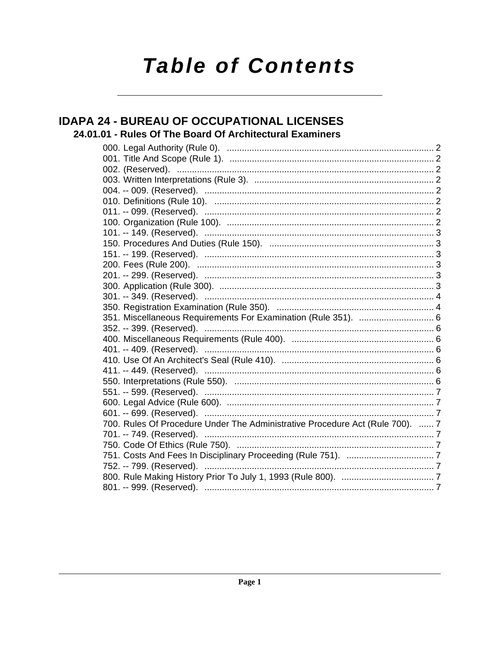# **Table of Contents**

### **IDAPA 24 - BUREAU OF OCCUPATIONAL LICENSES** 24.01.01 - Rules Of The Board Of Architectural Examiners

| 351. Miscellaneous Requirements For Examination (Rule 351).  6                |  |
|-------------------------------------------------------------------------------|--|
|                                                                               |  |
|                                                                               |  |
|                                                                               |  |
|                                                                               |  |
|                                                                               |  |
|                                                                               |  |
|                                                                               |  |
|                                                                               |  |
|                                                                               |  |
| 700. Rules Of Procedure Under The Administrative Procedure Act (Rule 700).  7 |  |
|                                                                               |  |
|                                                                               |  |
|                                                                               |  |
|                                                                               |  |
|                                                                               |  |
|                                                                               |  |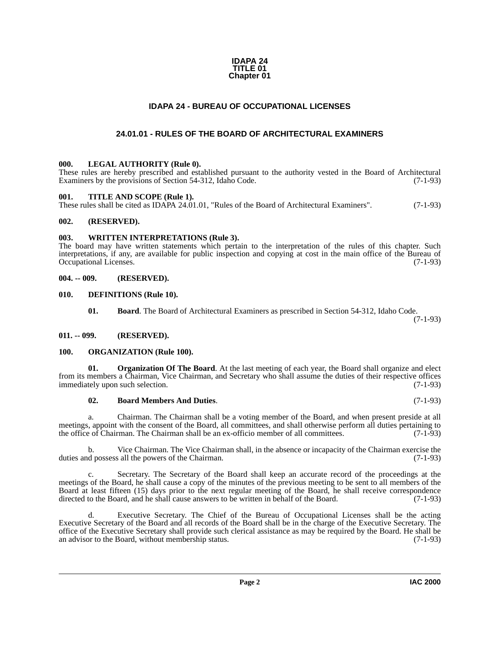### **IDAPA 24 TITLE 01 Chapter 01**

### **IDAPA 24 - BUREAU OF OCCUPATIONAL LICENSES**

### **24.01.01 - RULES OF THE BOARD OF ARCHITECTURAL EXAMINERS**

### <span id="page-1-13"></span><span id="page-1-2"></span><span id="page-1-1"></span><span id="page-1-0"></span>**000. LEGAL AUTHORITY (Rule 0).**

These rules are hereby prescribed and established pursuant to the authority vested in the Board of Architectural Examiners by the provisions of Section 54-312, Idaho Code. (7-1-93)

### <span id="page-1-16"></span><span id="page-1-3"></span>**001. TITLE AND SCOPE (Rule 1).**

These rules shall be cited as IDAPA 24.01.01, "Rules of the Board of Architectural Examiners". (7-1-93)

### <span id="page-1-4"></span>**002. (RESERVED).**

### <span id="page-1-17"></span><span id="page-1-5"></span>**003. WRITTEN INTERPRETATIONS (Rule 3).**

The board may have written statements which pertain to the interpretation of the rules of this chapter. Such interpretations, if any, are available for public inspection and copying at cost in the main office of the Bureau of Occupational Licenses. (7-1-93)

### <span id="page-1-6"></span>**004. -- 009. (RESERVED).**

### <span id="page-1-7"></span>**010. DEFINITIONS (Rule 10).**

<span id="page-1-12"></span><span id="page-1-10"></span>**01. Board**. The Board of Architectural Examiners as prescribed in Section 54-312, Idaho Code.

(7-1-93)

### <span id="page-1-8"></span>**011. -- 099. (RESERVED).**

### <span id="page-1-14"></span><span id="page-1-9"></span>**100. ORGANIZATION (Rule 100).**

**01. Organization Of The Board**. At the last meeting of each year, the Board shall organize and elect from its members a Chairman, Vice Chairman, and Secretary who shall assume the duties of their respective offices immediately upon such selection. (7-1-93) immediately upon such selection.

### <span id="page-1-15"></span><span id="page-1-11"></span>**02. Board Members And Duties**. (7-1-93)

a. Chairman. The Chairman shall be a voting member of the Board, and when present preside at all meetings, appoint with the consent of the Board, all committees, and shall otherwise perform all duties pertaining to the office of Chairman. The Chairman shall be an ex-officio member of all committees. (7-1-93) the office of Chairman. The Chairman shall be an ex-officio member of all committees.

b. Vice Chairman. The Vice Chairman shall, in the absence or incapacity of the Chairman exercise the duties and possess all the powers of the Chairman. (7-1-93)

c. Secretary. The Secretary of the Board shall keep an accurate record of the proceedings at the meetings of the Board, he shall cause a copy of the minutes of the previous meeting to be sent to all members of the Board at least fifteen (15) days prior to the next regular meeting of the Board, he shall receive correspondence directed to the Board, and he shall cause answers to be written in behalf of the Board. (7-1-93)

Executive Secretary. The Chief of the Bureau of Occupational Licenses shall be the acting Executive Secretary of the Board and all records of the Board shall be in the charge of the Executive Secretary. The office of the Executive Secretary shall provide such clerical assistance as may be required by the Board. He shall be an advisor to the Board, without membership status. (7-1-93)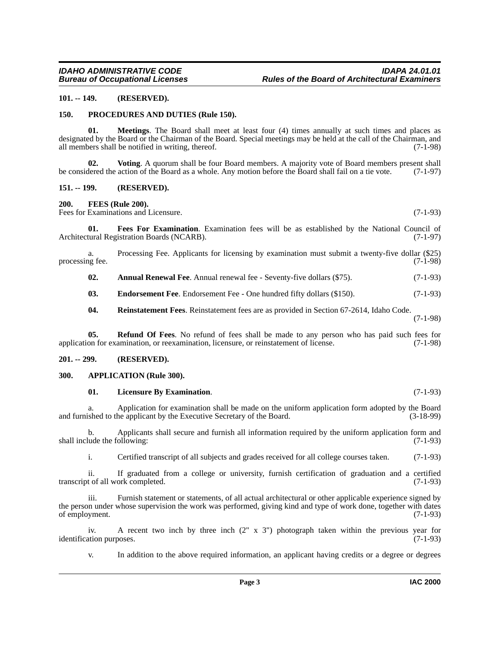### <span id="page-2-0"></span>**101. -- 149. (RESERVED).**

### <span id="page-2-13"></span><span id="page-2-1"></span>**150. PROCEDURES AND DUTIES (Rule 150).**

<span id="page-2-12"></span>**01. Meetings**. The Board shall meet at least four (4) times annually at such times and places as designated by the Board or the Chairman of the Board. Special meetings may be held at the call of the Chairman, and all members shall be notified in writing, thereof. (7-1-98) all members shall be notified in writing, thereof.

<span id="page-2-16"></span>**02. Voting**. A quorum shall be four Board members. A majority vote of Board members present shall be considered the action of the Board as a whole. Any motion before the Board shall fail on a tie vote. (7-1-97)

### <span id="page-2-2"></span>**151. -- 199. (RESERVED).**

<span id="page-2-9"></span><span id="page-2-3"></span>**200. FEES (Rule 200).**

Fees for Examinations and Licensure. (7-1-93)

<span id="page-2-10"></span>**01. Fees For Examination**. Examination fees will be as established by the National Council of Architectural Registration Boards (NCARB). (7-1-97)

a. Processing Fee. Applicants for licensing by examination must submit a twenty-five dollar (\$25) processing fee. (7-1-98)

<span id="page-2-6"></span>**02.** Annual Renewal Fee. Annual renewal fee - Seventy-five dollars (\$75). (7-1-93)

<span id="page-2-8"></span>**03. Endorsement Fee**. Endorsement Fee - One hundred fifty dollars (\$150). (7-1-93)

<span id="page-2-15"></span><span id="page-2-14"></span>**04. Reinstatement Fees**. Reinstatement fees are as provided in Section 67-2614, Idaho Code.

(7-1-98)

**05. Refund Of Fees**. No refund of fees shall be made to any person who has paid such fees for application for examination, or reexamination, licensure, or reinstatement of license. (7-1-98)

### <span id="page-2-4"></span>**201. -- 299. (RESERVED).**

### <span id="page-2-5"></span>**300. APPLICATION (Rule 300).**

### <span id="page-2-11"></span><span id="page-2-7"></span>**01. Licensure By Examination**. (7-1-93)

a. Application for examination shall be made on the uniform application form adopted by the Board shall be made on the uniform application form adopted by the Board (3-18-99) and furnished to the applicant by the Executive Secretary of the Board.

b. Applicants shall secure and furnish all information required by the uniform application form and shall include the following: (7-1-93)

i. Certified transcript of all subjects and grades received for all college courses taken. (7-1-93)

ii. If graduated from a college or university, furnish certification of graduation and a certified transcript of all work completed. (7-1-93)

iii. Furnish statement or statements, of all actual architectural or other applicable experience signed by the person under whose supervision the work was performed, giving kind and type of work done, together with dates of employment. (7-1-93)

iv. A recent two inch by three inch  $(2'' \times 3'')$  photograph taken within the previous year for ation purposes.  $(7-1-93)$ identification purposes.

v. In addition to the above required information, an applicant having credits or a degree or degrees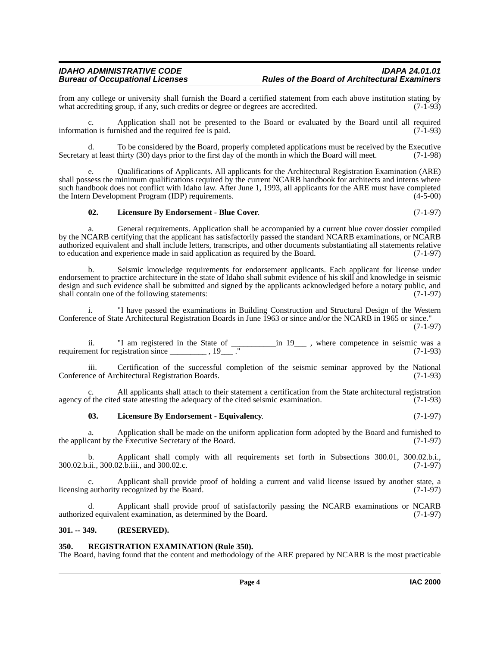from any college or university shall furnish the Board a certified statement from each above institution stating by what accrediting group, if any, such credits or degree or degrees are accredited. (7-1-93) what accrediting group, if any, such credits or degree or degrees are accredited.

c. Application shall not be presented to the Board or evaluated by the Board until all required information is furnished and the required fee is paid.  $(7-1-93)$ 

d. To be considered by the Board, properly completed applications must be received by the Executive Secretary at least thirty (30) days prior to the first day of the month in which the Board will meet. (7-1-98)

e. Qualifications of Applicants. All applicants for the Architectural Registration Examination (ARE) shall possess the minimum qualifications required by the current NCARB handbook for architects and interns where such handbook does not conflict with Idaho law. After June 1, 1993, all applicants for the ARE must have completed<br>the Intern Development Program (IDP) requirements. (4-5-00) the Intern Development Program (IDP) requirements.

### <span id="page-3-2"></span>**02. Licensure By Endorsement - Blue Cover**. (7-1-97)

a. General requirements. Application shall be accompanied by a current blue cover dossier compiled by the NCARB certifying that the applicant has satisfactorily passed the standard NCARB examinations, or NCARB authorized equivalent and shall include letters, transcripts, and other documents substantiating all statements relative to education and experience made in said application as required by the Board. (7-1-97)

b. Seismic knowledge requirements for endorsement applicants. Each applicant for license under endorsement to practice architecture in the state of Idaho shall submit evidence of his skill and knowledge in seismic design and such evidence shall be submitted and signed by the applicants acknowledged before a notary public, and shall contain one of the following statements: (7-1-97)

i. "I have passed the examinations in Building Construction and Structural Design of the Western Conference of State Architectural Registration Boards in June 1963 or since and/or the NCARB in 1965 or since."

(7-1-97)

ii. "I am registered in the State of \_\_\_\_\_\_\_\_\_\_\_in 19\_\_\_ , where competence in seismic was a requirement for registration since  $\frac{1}{2}$ ,  $\frac{19}{2}$ ." (7-1-93)

iii. Certification of the successful completion of the seismic seminar approved by the National ince of Architectural Registration Boards. (7-1-93) Conference of Architectural Registration Boards.

All applicants shall attach to their statement a certification from the State architectural registration agency of the cited state attesting the adequacy of the cited seismic examination. (7-1-93)

### <span id="page-3-3"></span>**03. Licensure By Endorsement - Equivalency**. (7-1-97)

a. Application shall be made on the uniform application form adopted by the Board and furnished to the applicant by the Executive Secretary of the Board. (7-1-97)

b. Applicant shall comply with all requirements set forth in Subsections 300.01, 300.02.b.i., (7-1-97) 300.02.b.ii., 300.02.b.iii., and 300.02.c.

c. Applicant shall provide proof of holding a current and valid license issued by another state, a licensing authority recognized by the Board. (7-1-97)

d. Applicant shall provide proof of satisfactorily passing the NCARB examinations or NCARB authorized equivalent examination, as determined by the Board. (7-1-97)

### <span id="page-3-0"></span>**301. -- 349. (RESERVED).**

### <span id="page-3-4"></span><span id="page-3-1"></span>**350. REGISTRATION EXAMINATION (Rule 350).**

The Board, having found that the content and methodology of the ARE prepared by NCARB is the most practicable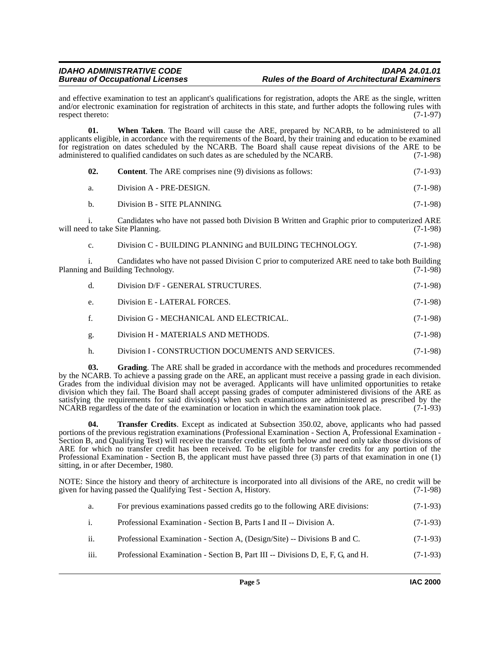and effective examination to test an applicant's qualifications for registration, adopts the ARE as the single, written and/or electronic examination for registration of architects in this state, and further adopts the following rules with respect thereto:  $(7-1-97)$ 

**01. When Taken**. The Board will cause the ARE, prepared by NCARB, to be administered to all applicants eligible, in accordance with the requirements of the Board, by their training and education to be examined for registration on dates scheduled by the NCARB. The Board shall cause repeat divisions of the ARE to be administered to qualified candidates on such dates as are scheduled by the NCARB. (7-1-98)

| 02.            | <b>Content.</b> The ARE comprises nine (9) divisions as follows:                                                                    | $(7-1-93)$ |
|----------------|-------------------------------------------------------------------------------------------------------------------------------------|------------|
| a.             | Division A - PRE-DESIGN.                                                                                                            | $(7-1-98)$ |
| $\mathbf{b}$ . | Division B - SITE PLANNING.                                                                                                         | $(7-1-98)$ |
|                | Candidates who have not passed both Division B Written and Graphic prior to computerized ARE<br>will need to take Site Planning.    | $(7-1-98)$ |
| $C_{\star}$    | Division C - BUILDING PLANNING and BUILDING TECHNOLOGY.                                                                             | $(7-1-98)$ |
|                | Candidates who have not passed Division C prior to computerized ARE need to take both Building<br>Planning and Building Technology. | $(7-1-98)$ |
| d.             | Division D/F - GENERAL STRUCTURES.                                                                                                  | $(7-1-98)$ |
| e.             | Division E - LATERAL FORCES.                                                                                                        | $(7-1-98)$ |
| f.             | Division G - MECHANICAL AND ELECTRICAL.                                                                                             | $(7-1-98)$ |
| g.             | Division H - MATERIALS AND METHODS.                                                                                                 | $(7-1-98)$ |
| h.             | Division I - CONSTRUCTION DOCUMENTS AND SERVICES.                                                                                   | $(7-1-98)$ |

<span id="page-4-0"></span>**03. Grading**. The ARE shall be graded in accordance with the methods and procedures recommended by the NCARB. To achieve a passing grade on the ARE, an applicant must receive a passing grade in each division. Grades from the individual division may not be averaged. Applicants will have unlimited opportunities to retake division which they fail. The Board shall accept passing grades of computer administered divisions of the ARE as satisfying the requirements for said division(s) when such examinations are administered as prescribed by the NCARB regardless of the date of the examination or location in which the examination took place. (7-1-93)

<span id="page-4-1"></span>**04. Transfer Credits**. Except as indicated at Subsection 350.02, above, applicants who had passed portions of the previous registration examinations (Professional Examination - Section A, Professional Examination - Section B, and Qualifying Test) will receive the transfer credits set forth below and need only take those divisions of ARE for which no transfer credit has been received. To be eligible for transfer credits for any portion of the Professional Examination - Section B, the applicant must have passed three (3) parts of that examination in one (1) sitting, in or after December, 1980.

NOTE: Since the history and theory of architecture is incorporated into all divisions of the ARE, no credit will be given for having passed the Qualifying Test - Section A, History. (7-1-98)

| а.   | For previous examinations passed credits go to the following ARE divisions:    | $(7-1-93)$ |
|------|--------------------------------------------------------------------------------|------------|
| 1.   | Professional Examination - Section B, Parts I and II -- Division A.            | $(7-1-93)$ |
| ii.  | Professional Examination - Section A, (Design/Site) -- Divisions B and C.      | $(7-1-93)$ |
| iii. | Professional Examination - Section B, Part III -- Divisions D, E, F, G, and H. | $(7-1-93)$ |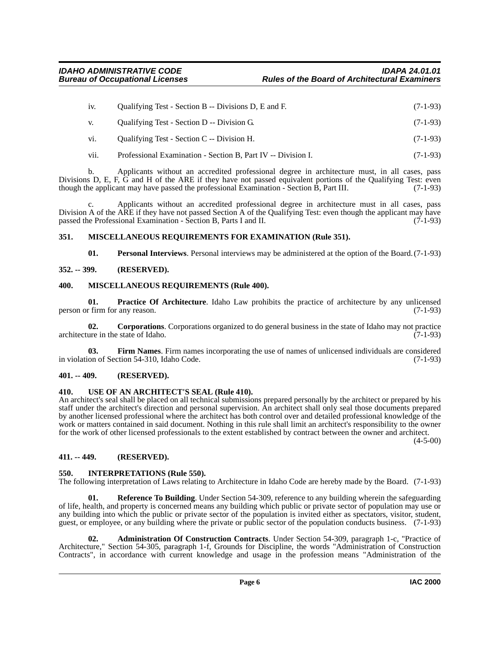| 1V. | Qualifying Test - Section B -- Divisions D, E and F. | $(7-1-93)$ |
|-----|------------------------------------------------------|------------|
| V.  | Qualifying Test - Section D -- Division G.           | $(7-1-93)$ |
| vi. | Qualifying Test - Section C -- Division H.           | $(7-1-93)$ |

vii. Professional Examination - Section B, Part IV -- Division I. (7-1-93)

b. Applicants without an accredited professional degree in architecture must, in all cases, pass Divisions D, E, F, G and H of the ARE if they have not passed equivalent portions of the Qualifying Test: even though the applicant may have passed the professional Examination - Section B, Part III. (7-1-93)

c. Applicants without an accredited professional degree in architecture must in all cases, pass Division A of the ARE if they have not passed Section A of the Qualifying Test: even though the applicant may have passed the Professional Examination - Section B, Parts I and II. (7-1-93) passed the Professional Examination - Section B, Parts I and II.

### <span id="page-5-0"></span>**351. MISCELLANEOUS REQUIREMENTS FOR EXAMINATION (Rule 351).**

<span id="page-5-14"></span><span id="page-5-13"></span><span id="page-5-12"></span><span id="page-5-11"></span>**01. Personal Interviews**. Personal interviews may be administered at the option of the Board.(7-1-93)

### <span id="page-5-1"></span>**352. -- 399. (RESERVED).**

### <span id="page-5-2"></span>**400. MISCELLANEOUS REQUIREMENTS (Rule 400).**

**01. Practice Of Architecture**. Idaho Law prohibits the practice of architecture by any unlicensed person or firm for any reason. (7-1-93)

<span id="page-5-8"></span>**02. Corporations**. Corporations organized to do general business in the state of Idaho may not practice architecture in the state of Idaho. (7-1-93)

<span id="page-5-9"></span>**03. Firm Names**. Firm names incorporating the use of names of unlicensed individuals are considered in violation of Section 54-310, Idaho Code. (7-1-93)

### <span id="page-5-3"></span>**401. -- 409. (RESERVED).**

### <span id="page-5-4"></span>**410. USE OF AN ARCHITECT'S SEAL (Rule 410).**

An architect's seal shall be placed on all technical submissions prepared personally by the architect or prepared by his staff under the architect's direction and personal supervision. An architect shall only seal those documents prepared by another licensed professional where the architect has both control over and detailed professional knowledge of the work or matters contained in said document. Nothing in this rule shall limit an architect's responsibility to the owner for the work of other licensed professionals to the extent established by contract between the owner and architect.

 $(4-5-00)$ 

### <span id="page-5-5"></span>**411. -- 449. (RESERVED).**

### <span id="page-5-10"></span><span id="page-5-6"></span>**550. INTERPRETATIONS (Rule 550).**

The following interpretation of Laws relating to Architecture in Idaho Code are hereby made by the Board. (7-1-93)

<span id="page-5-15"></span>**01. Reference To Building**. Under Section 54-309, reference to any building wherein the safeguarding of life, health, and property is concerned means any building which public or private sector of population may use or any building into which the public or private sector of the population is invited either as spectators, visitor, student, guest, or employee, or any building where the private or public sector of the population conducts business. (7-1-93)

<span id="page-5-7"></span>**02. Administration Of Construction Contracts**. Under Section 54-309, paragraph 1-c, "Practice of Architecture," Section 54-305, paragraph 1-f, Grounds for Discipline, the words "Administration of Construction Contracts", in accordance with current knowledge and usage in the profession means "Administration of the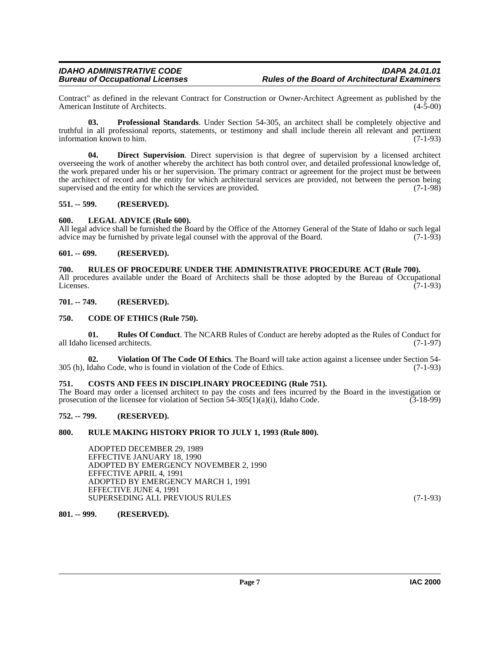### *IDAHO ADMINISTRATIVE CODE IDAPA 24.01.01 Rules of the Board of Architectural Examiners*

Contract" as defined in the relevant Contract for Construction or Owner-Architect Agreement as published by the American Institute of Architects.

<span id="page-6-14"></span>**03. Professional Standards**. Under Section 54-305, an architect shall be completely objective and truthful in all professional reports, statements, or testimony and shall include therein all relevant and pertinent information known to him. (7-1-93)

<span id="page-6-12"></span>**04. Direct Supervision**. Direct supervision is that degree of supervision by a licensed architect overseeing the work of another whereby the architect has both control over, and detailed professional knowledge of, the work prepared under his or her supervision. The primary contract or agreement for the project must be between the architect of record and the entity for which architectural services are provided, not between the person being supervised and the entity for which the services are provided.  $(7-1-98)$ 

### <span id="page-6-0"></span>**551. -- 599. (RESERVED).**

### <span id="page-6-13"></span><span id="page-6-1"></span>**600. LEGAL ADVICE (Rule 600).**

All legal advice shall be furnished the Board by the Office of the Attorney General of the State of Idaho or such legal advice may be furnished by private legal counsel with the approval of the Board. (7-1-93) advice may be furnished by private legal counsel with the approval of the Board.

### <span id="page-6-2"></span>**601. -- 699. (RESERVED).**

### <span id="page-6-17"></span><span id="page-6-3"></span>**700. RULES OF PROCEDURE UNDER THE ADMINISTRATIVE PROCEDURE ACT (Rule 700).**

All procedures available under the Board of Architects shall be those adopted by the Bureau of Occupational Licenses. (7-1-93)

### <span id="page-6-4"></span>**701. -- 749. (RESERVED).**

### <span id="page-6-10"></span><span id="page-6-5"></span>**750. CODE OF ETHICS (Rule 750).**

<span id="page-6-16"></span>**01. Rules Of Conduct**. The NCARB Rules of Conduct are hereby adopted as the Rules of Conduct for all Idaho licensed architects. (7-1-97)

<span id="page-6-18"></span>**02. Violation Of The Code Of Ethics**. The Board will take action against a licensee under Section 54- 305 (h), Idaho Code, who is found in violation of the Code of Ethics. (7-1-93)

### <span id="page-6-11"></span><span id="page-6-6"></span>**751. COSTS AND FEES IN DISCIPLINARY PROCEEDING (Rule 751).**

The Board may order a licensed architect to pay the costs and fees incurred by the Board in the investigation or prosecution of the licensee for violation of Section 54-305(1)(a)(i), Idaho Code.  $(3-18-99)$ 

### <span id="page-6-7"></span>**752. -- 799. (RESERVED).**

### <span id="page-6-8"></span>**800. RULE MAKING HISTORY PRIOR TO JULY 1, 1993 (Rule 800).**

<span id="page-6-15"></span>ADOPTED DECEMBER 29, 1989 EFFECTIVE JANUARY 18, 1990 ADOPTED BY EMERGENCY NOVEMBER 2, 1990 EFFECTIVE APRIL 4, 1991 ADOPTED BY EMERGENCY MARCH 1, 1991 EFFECTIVE JUNE 4, 1991 SUPERSEDING ALL PREVIOUS RULES (7-1-93)

### <span id="page-6-9"></span>**801. -- 999. (RESERVED).**